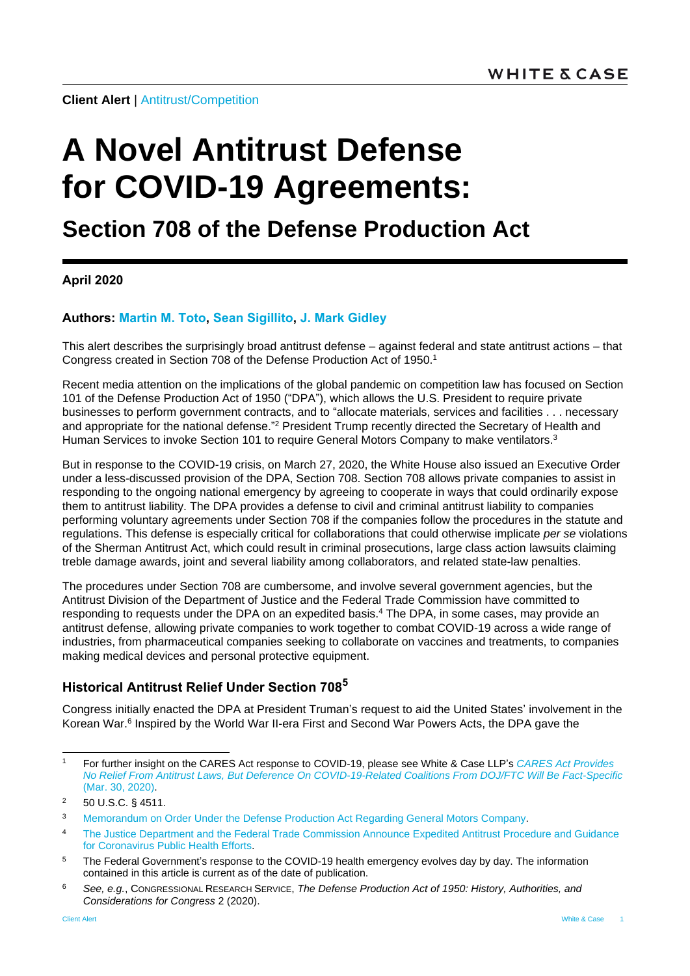**Client Alert** | [Antitrust/Competition](https://www.whitecase.com/law/practices/antitrust-competition)

# **A Novel Antitrust Defense for COVID-19 Agreements:**

# **Section 708 of the Defense Production Act**

#### **April 2020**

#### **Authors: [Martin M. Toto,](https://www.whitecase.com/people/martin-m-toto) Sean [Sigillito,](https://www.whitecase.com/people/sean-sigillito) [J. Mark Gidley](https://www.whitecase.com/people/j-mark-gidley)**

This alert describes the surprisingly broad antitrust defense – against federal and state antitrust actions – that Congress created in Section 708 of the Defense Production Act of 1950.<sup>1</sup>

Recent media attention on the implications of the global pandemic on competition law has focused on Section 101 of the Defense Production Act of 1950 ("DPA"), which allows the U.S. President to require private businesses to perform government contracts, and to "allocate materials, services and facilities . . . necessary and appropriate for the national defense."<sup>2</sup> President Trump recently directed the Secretary of Health and Human Services to invoke Section 101 to require General Motors Company to make ventilators.<sup>3</sup>

But in response to the COVID-19 crisis, on March 27, 2020, the White House also issued an Executive Order under a less-discussed provision of the DPA, Section 708. Section 708 allows private companies to assist in responding to the ongoing national emergency by agreeing to cooperate in ways that could ordinarily expose them to antitrust liability. The DPA provides a defense to civil and criminal antitrust liability to companies performing voluntary agreements under Section 708 if the companies follow the procedures in the statute and regulations. This defense is especially critical for collaborations that could otherwise implicate *per se* violations of the Sherman Antitrust Act, which could result in criminal prosecutions, large class action lawsuits claiming treble damage awards, joint and several liability among collaborators, and related state-law penalties.

The procedures under Section 708 are cumbersome, and involve several government agencies, but the Antitrust Division of the Department of Justice and the Federal Trade Commission have committed to responding to requests under the DPA on an expedited basis.<sup>4</sup> The DPA, in some cases, may provide an antitrust defense, allowing private companies to work together to combat COVID-19 across a wide range of industries, from pharmaceutical companies seeking to collaborate on vaccines and treatments, to companies making medical devices and personal protective equipment.

## **Historical Antitrust Relief Under Section 708<sup>5</sup>**

Congress initially enacted the DPA at President Truman's request to aid the United States' involvement in the Korean War.<sup>6</sup> Inspired by the World War II-era First and Second War Powers Acts, the DPA gave the

l

<sup>1</sup> For further insight on the CARES Act response to COVID-19, please see White & Case LLP's *[CARES Act Provides](https://www.whitecase.com/publications/alert/cares-act-provides-no-relief-antitrust-laws-deference-covid-19-related)  [No Relief From Antitrust Laws, But Deference On COVID-19-Related Coalitions From DOJ/FTC Will Be Fact-Specific](https://www.whitecase.com/publications/alert/cares-act-provides-no-relief-antitrust-laws-deference-covid-19-related)* (Mar. 30, 2020).

<sup>2</sup> 50 U.S.C. § 4511.

<sup>3</sup> Memorandum [on Order Under the Defense Production Act Regarding General Motors Company.](https://www.whitehouse.gov/presidential-actions/memorandum-order-defense-production-act-regarding-general-motors-company/)

<sup>&</sup>lt;sup>4</sup> The Justice Department and the Federal Trade Commission Announce Expedited Antitrust Procedure and Guidance [for Coronavirus Public Health Efforts.](https://www.justice.gov/opa/pr/justice-department-and-federal-trade-commission-announce-expedited-antitrust-procedure-and)

<sup>&</sup>lt;sup>5</sup> The Federal Government's response to the COVID-19 health emergency evolves day by day. The information contained in this article is current as of the date of publication.

<sup>6</sup> *See, e.g.*, CONGRESSIONAL RESEARCH SERVICE, *The Defense Production Act of 1950: History, Authorities, and Considerations for Congress* 2 (2020).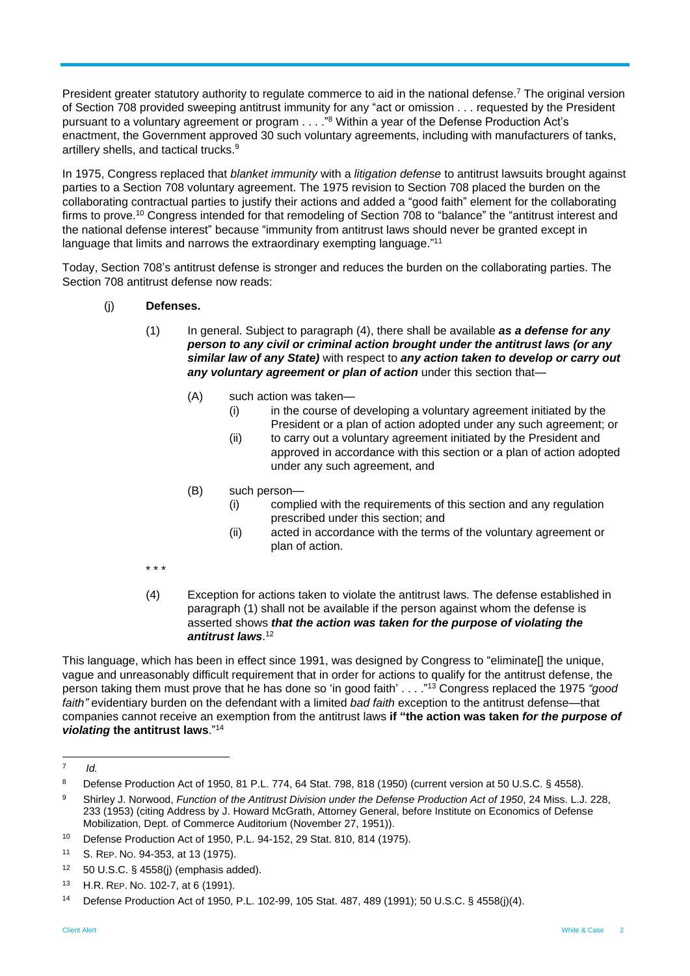President greater statutory authority to regulate commerce to aid in the national defense.<sup>7</sup> The original version of Section 708 provided sweeping antitrust immunity for any "act or omission . . . requested by the President pursuant to a voluntary agreement or program . . . ."<sup>8</sup> Within a year of the Defense Production Act's enactment, the Government approved 30 such voluntary agreements, including with manufacturers of tanks, artillery shells, and tactical trucks.<sup>9</sup>

In 1975, Congress replaced that *blanket immunity* with a *litigation defense* to antitrust lawsuits brought against parties to a Section 708 voluntary agreement. The 1975 revision to Section 708 placed the burden on the collaborating contractual parties to justify their actions and added a "good faith" element for the collaborating firms to prove.<sup>10</sup> Congress intended for that remodeling of Section 708 to "balance" the "antitrust interest and the national defense interest" because "immunity from antitrust laws should never be granted except in language that limits and narrows the extraordinary exempting language."<sup>11</sup>

Today, Section 708's antitrust defense is stronger and reduces the burden on the collaborating parties. The Section 708 antitrust defense now reads:

- (j) **Defenses.**
	- (1) In general. Subject to paragraph (4), there shall be available *as a defense for any person to any civil or criminal action brought under the antitrust laws (or any similar law of any State)* with respect to *any action taken to develop or carry out any voluntary agreement or plan of action* under this section that—
		- (A) such action was taken—
			- (i) in the course of developing a voluntary agreement initiated by the President or a plan of action adopted under any such agreement; or
			- (ii) to carry out a voluntary agreement initiated by the President and approved in accordance with this section or a plan of action adopted under any such agreement, and
		- (B) such person—
			- (i) complied with the requirements of this section and any regulation prescribed under this section; and
			- (ii) acted in accordance with the terms of the voluntary agreement or plan of action.
	- \* \* \*
	- (4) Exception for actions taken to violate the antitrust laws. The defense established in paragraph (1) shall not be available if the person against whom the defense is asserted shows *that the action was taken for the purpose of violating the antitrust laws*. 12

This language, which has been in effect since 1991, was designed by Congress to "eliminate[] the unique, vague and unreasonably difficult requirement that in order for actions to qualify for the antitrust defense, the person taking them must prove that he has done so 'in good faith' . . . ." <sup>13</sup> Congress replaced the 1975 *"good faith"* evidentiary burden on the defendant with a limited *bad faith* exception to the antitrust defense—that companies cannot receive an exemption from the antitrust laws **if "the action was taken** *for the purpose of violating* **the antitrust laws**." 14

<sup>-&</sup>lt;br>7 *Id.*

<sup>8</sup> Defense Production Act of 1950, 81 P.L. 774, 64 Stat. 798, 818 (1950) (current version at 50 U.S.C. § 4558).

<sup>9</sup> Shirley J. Norwood, *Function of the Antitrust Division under the Defense Production Act of 1950*, 24 Miss. L.J. 228, 233 (1953) (citing Address by J. Howard McGrath, Attorney General, before Institute on Economics of Defense Mobilization, Dept. of Commerce Auditorium (November 27, 1951)).

<sup>10</sup> Defense Production Act of 1950, P.L. 94-152, 29 Stat. 810, 814 (1975).

<sup>11</sup> S. REP. NO. 94-353, at 13 (1975).

 $12$  50 U.S.C. § 4558(j) (emphasis added).

<sup>13</sup> H.R. REP. NO. 102-7, at 6 (1991).

<sup>14</sup> Defense Production Act of 1950, P.L. 102-99, 105 Stat. 487, 489 (1991); 50 U.S.C. § 4558(j)(4).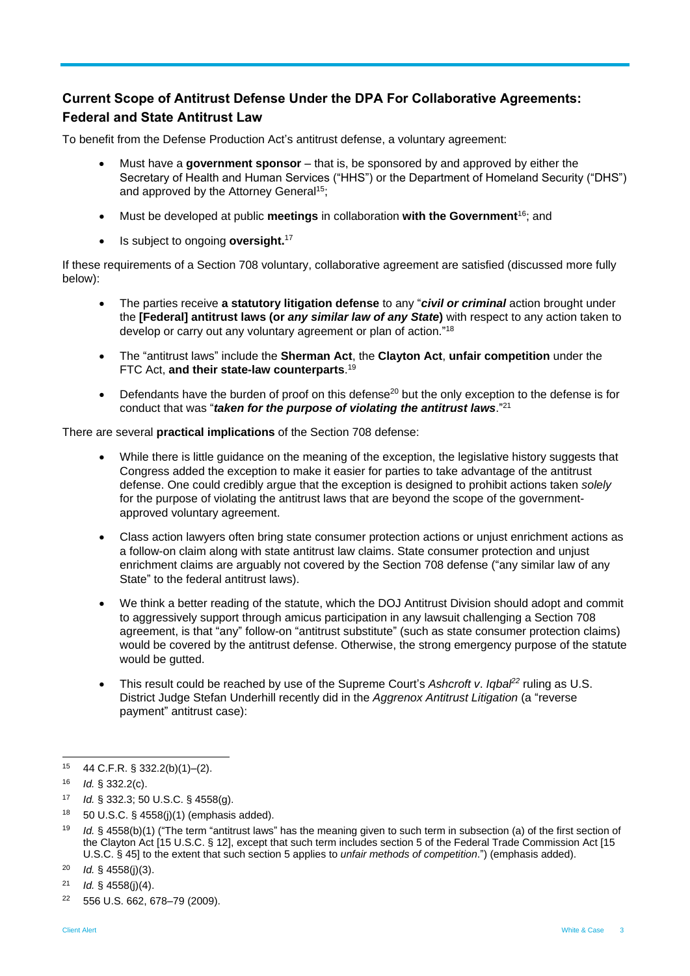# **Current Scope of Antitrust Defense Under the DPA For Collaborative Agreements: Federal and State Antitrust Law**

To benefit from the Defense Production Act's antitrust defense, a voluntary agreement:

- Must have a **government sponsor** that is, be sponsored by and approved by either the Secretary of Health and Human Services ("HHS") or the Department of Homeland Security ("DHS") and approved by the Attorney General<sup>15</sup>;
- Must be developed at public **meetings** in collaboration **with the Government**<sup>16</sup>; and
- Is subject to ongoing **oversight.**<sup>17</sup>

If these requirements of a Section 708 voluntary, collaborative agreement are satisfied (discussed more fully below):

- The parties receive **a statutory litigation defense** to any "*civil or criminal* action brought under the **[Federal] antitrust laws (or** *any similar law of any State***)** with respect to any action taken to develop or carry out any voluntary agreement or plan of action."<sup>18</sup>
- The "antitrust laws" include the **Sherman Act**, the **Clayton Act**, **unfair competition** under the FTC Act, **and their state-law counterparts**. 19
- Defendants have the burden of proof on this defense<sup>20</sup> but the only exception to the defense is for conduct that was "*taken for the purpose of violating the antitrust laws*." 21

There are several **practical implications** of the Section 708 defense:

- While there is little guidance on the meaning of the exception, the legislative history suggests that Congress added the exception to make it easier for parties to take advantage of the antitrust defense. One could credibly argue that the exception is designed to prohibit actions taken *solely* for the purpose of violating the antitrust laws that are beyond the scope of the governmentapproved voluntary agreement.
- Class action lawyers often bring state consumer protection actions or unjust enrichment actions as a follow-on claim along with state antitrust law claims. State consumer protection and unjust enrichment claims are arguably not covered by the Section 708 defense ("any similar law of any State" to the federal antitrust laws).
- We think a better reading of the statute, which the DOJ Antitrust Division should adopt and commit to aggressively support through amicus participation in any lawsuit challenging a Section 708 agreement, is that "any" follow-on "antitrust substitute" (such as state consumer protection claims) would be covered by the antitrust defense. Otherwise, the strong emergency purpose of the statute would be gutted.
- This result could be reached by use of the Supreme Court's *Ashcroft v*. *Iqbal<sup>22</sup>* ruling as U.S. District Judge Stefan Underhill recently did in the *Aggrenox Antitrust Litigation* (a "reverse payment" antitrust case):

l <sup>15</sup> 44 C.F.R. § 332.2(b)(1)–(2).

<sup>16</sup> *Id.* § 332.2(c).

<sup>17</sup> *Id.* § 332.3; 50 U.S.C. § 4558(g).

<sup>18</sup> 50 U.S.C. § 4558(j)(1) (emphasis added).

<sup>19</sup> *Id.* § 4558(b)(1) ("The term "antitrust laws" has the meaning given to such term in subsection (a) of the first section of the Clayton Act [15 U.S.C. § 12], except that such term includes section 5 of the Federal Trade Commission Act [15 U.S.C. § 45] to the extent that such section 5 applies to *unfair methods of competition*.") (emphasis added).

<sup>20</sup> *Id.* § 4558(j)(3).

<sup>21</sup> *Id.* § 4558(j)(4).

<sup>22</sup> 556 U.S. 662, 678–79 (2009).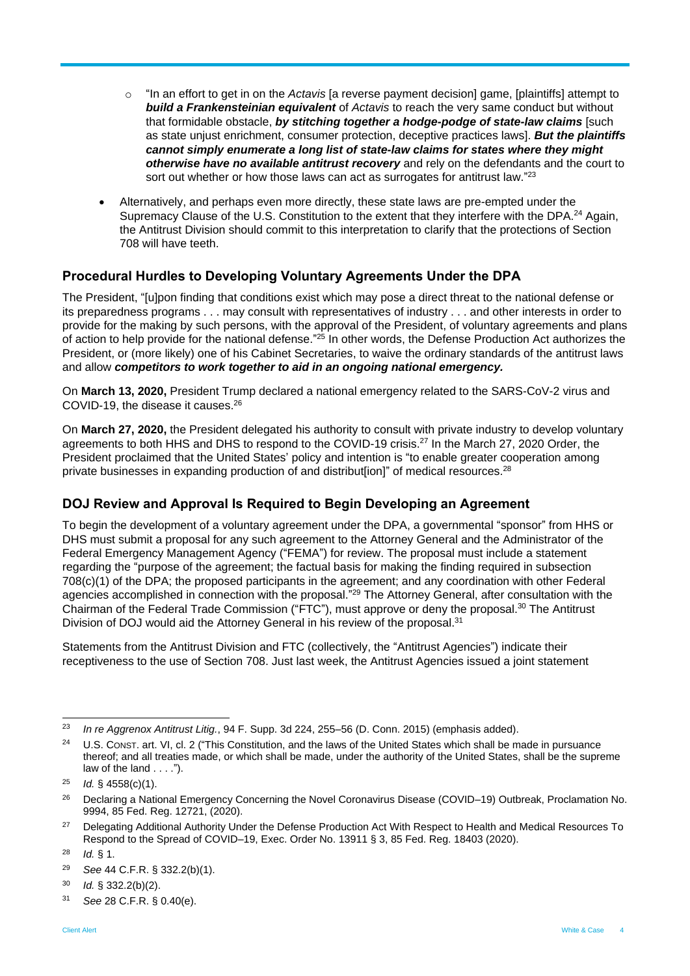- o "In an effort to get in on the *Actavis* [a reverse payment decision] game, [plaintiffs] attempt to *build a Frankensteinian equivalent* of *Actavis* to reach the very same conduct but without that formidable obstacle, *by stitching together a hodge-podge of state-law claims* [such as state unjust enrichment, consumer protection, deceptive practices laws]. *But the plaintiffs cannot simply enumerate a long list of state-law claims for states where they might otherwise have no available antitrust recovery* and rely on the defendants and the court to sort out whether or how those laws can act as surrogates for antitrust law."<sup>23</sup>
- Alternatively, and perhaps even more directly, these state laws are pre-empted under the Supremacy Clause of the U.S. Constitution to the extent that they interfere with the DPA.<sup>24</sup> Again, the Antitrust Division should commit to this interpretation to clarify that the protections of Section 708 will have teeth.

#### **Procedural Hurdles to Developing Voluntary Agreements Under the DPA**

The President, "[u]pon finding that conditions exist which may pose a direct threat to the national defense or its preparedness programs . . . may consult with representatives of industry . . . and other interests in order to provide for the making by such persons, with the approval of the President, of voluntary agreements and plans of action to help provide for the national defense."<sup>25</sup> In other words, the Defense Production Act authorizes the President, or (more likely) one of his Cabinet Secretaries, to waive the ordinary standards of the antitrust laws and allow *competitors to work together to aid in an ongoing national emergency.*

On **March 13, 2020,** President Trump declared a national emergency related to the SARS-CoV-2 virus and COVID-19, the disease it causes.<sup>26</sup>

On **March 27, 2020,** the President delegated his authority to consult with private industry to develop voluntary agreements to both HHS and DHS to respond to the COVID-19 crisis.<sup>27</sup> In the March 27, 2020 Order, the President proclaimed that the United States' policy and intention is "to enable greater cooperation among private businesses in expanding production of and distribut[ion]" of medical resources.<sup>28</sup>

#### **DOJ Review and Approval Is Required to Begin Developing an Agreement**

To begin the development of a voluntary agreement under the DPA, a governmental "sponsor" from HHS or DHS must submit a proposal for any such agreement to the Attorney General and the Administrator of the Federal Emergency Management Agency ("FEMA") for review. The proposal must include a statement regarding the "purpose of the agreement; the factual basis for making the finding required in subsection 708(c)(1) of the DPA; the proposed participants in the agreement; and any coordination with other Federal agencies accomplished in connection with the proposal."<sup>29</sup> The Attorney General, after consultation with the Chairman of the Federal Trade Commission ("FTC"), must approve or deny the proposal.<sup>30</sup> The Antitrust Division of DOJ would aid the Attorney General in his review of the proposal.<sup>31</sup>

Statements from the Antitrust Division and FTC (collectively, the "Antitrust Agencies") indicate their receptiveness to the use of Section 708. Just last week, the Antitrust Agencies issued a joint statement

<sup>23</sup> <sup>23</sup> *In re Aggrenox Antitrust Litig.*, 94 F. Supp. 3d 224, 255–56 (D. Conn. 2015) (emphasis added).

<sup>&</sup>lt;sup>24</sup> U.S. Const. art. VI, cl. 2 ("This Constitution, and the laws of the United States which shall be made in pursuance thereof; and all treaties made, or which shall be made, under the authority of the United States, shall be the supreme law of the land . . . .").

<sup>25</sup> *Id.* § 4558(c)(1).

<sup>&</sup>lt;sup>26</sup> Declaring a National Emergency Concerning the Novel Coronavirus Disease (COVID–19) Outbreak, Proclamation No. 9994, 85 Fed. Reg. 12721, (2020).

<sup>&</sup>lt;sup>27</sup> Delegating Additional Authority Under the Defense Production Act With Respect to Health and Medical Resources To Respond to the Spread of COVID–19, Exec. Order No. 13911 § 3, 85 Fed. Reg. 18403 (2020).

 $28$  *Id.* § 1.

<sup>29</sup> *See* 44 C.F.R. § 332.2(b)(1).

<sup>30</sup> *Id.* § 332.2(b)(2).

<sup>31</sup> *See* 28 C.F.R. § 0.40(e).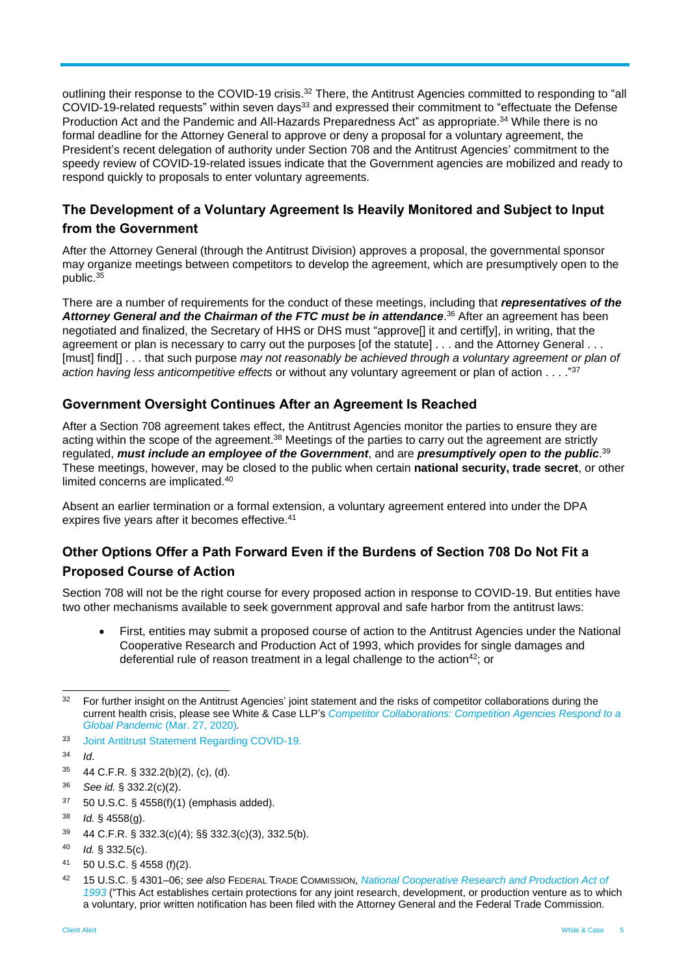outlining their response to the COVID-19 crisis.<sup>32</sup> There, the Antitrust Agencies committed to responding to "all COVID-19-related requests" within seven days<sup>33</sup> and expressed their commitment to "effectuate the Defense Production Act and the Pandemic and All-Hazards Preparedness Act" as appropriate.<sup>34</sup> While there is no formal deadline for the Attorney General to approve or deny a proposal for a voluntary agreement, the President's recent delegation of authority under Section 708 and the Antitrust Agencies' commitment to the speedy review of COVID-19-related issues indicate that the Government agencies are mobilized and ready to respond quickly to proposals to enter voluntary agreements.

## **The Development of a Voluntary Agreement Is Heavily Monitored and Subject to Input from the Government**

After the Attorney General (through the Antitrust Division) approves a proposal, the governmental sponsor may organize meetings between competitors to develop the agreement, which are presumptively open to the public.<sup>35</sup>

There are a number of requirements for the conduct of these meetings, including that *representatives of the*  Attorney General and the Chairman of the FTC must be in attendance.<sup>36</sup> After an agreement has been negotiated and finalized, the Secretary of HHS or DHS must "approve[] it and certif[y], in writing, that the agreement or plan is necessary to carry out the purposes [of the statute] . . . and the Attorney General . . . [must] find[] . . . that such purpose *may not reasonably be achieved through a voluntary agreement or plan of action having less anticompetitive effects* or without any voluntary agreement or plan of action . . . ." 37

#### **Government Oversight Continues After an Agreement Is Reached**

After a Section 708 agreement takes effect, the Antitrust Agencies monitor the parties to ensure they are acting within the scope of the agreement.<sup>38</sup> Meetings of the parties to carry out the agreement are strictly regulated, *must include an employee of the Government*, and are *presumptively open to the public*. 39 These meetings, however, may be closed to the public when certain **national security, trade secret**, or other limited concerns are implicated.<sup>40</sup>

Absent an earlier termination or a formal extension, a voluntary agreement entered into under the DPA expires five years after it becomes effective.<sup>41</sup>

## **Other Options Offer a Path Forward Even if the Burdens of Section 708 Do Not Fit a Proposed Course of Action**

Section 708 will not be the right course for every proposed action in response to COVID-19. But entities have two other mechanisms available to seek government approval and safe harbor from the antitrust laws:

 First, entities may submit a proposed course of action to the Antitrust Agencies under the National Cooperative Research and Production Act of 1993, which provides for single damages and deferential rule of reason treatment in a legal challenge to the action<sup>42</sup>; or

- <sup>35</sup> 44 C.F.R. § 332.2(b)(2), (c), (d).
- <sup>36</sup> *See id.* § 332.2(c)(2).
- $37$  50 U.S.C. § 4558(f)(1) (emphasis added).
- <sup>38</sup> *Id.* § 4558(g).
- <sup>39</sup> 44 C.F.R. § 332.3(c)(4); §§ 332.3(c)(3), 332.5(b).
- <sup>40</sup> *Id.* § 332.5(c).
- <sup>41</sup> 50 U.S.C. § 4558 (f)(2).

l <sup>32</sup> For further insight on the Antitrust Agencies' joint statement and the risks of competitor collaborations during the current health crisis, please see White & Case LLP's *[Competitor Collaborations: Competition Agencies Respond to a](https://www.whitecase.com/publications/alert/competitor-collaborations-competition-agencies-respond-global-pandemic)  [Global Pandemic](https://www.whitecase.com/publications/alert/competitor-collaborations-competition-agencies-respond-global-pandemic)* (Mar. 27, 2020)*.*

<sup>33</sup> [Joint Antitrust Statement Regarding COVID-19.](https://www.justice.gov/atr/joint-antitrust-statement-regarding-covid-19)

<sup>34</sup> *Id*.

<sup>42</sup> 15 U.S.C. § 4301–06; *see also* FEDERAL TRADE COMMISSION, *[National Cooperative Research and Production Act of](https://www.ftc.gov/enforcement/statutes/national-cooperative-research-and-production-act-1993)  [1993](https://www.ftc.gov/enforcement/statutes/national-cooperative-research-and-production-act-1993)* ("This Act establishes certain protections for any joint research, development, or production venture as to which a voluntary, prior written notification has been filed with the Attorney General and the Federal Trade Commission.